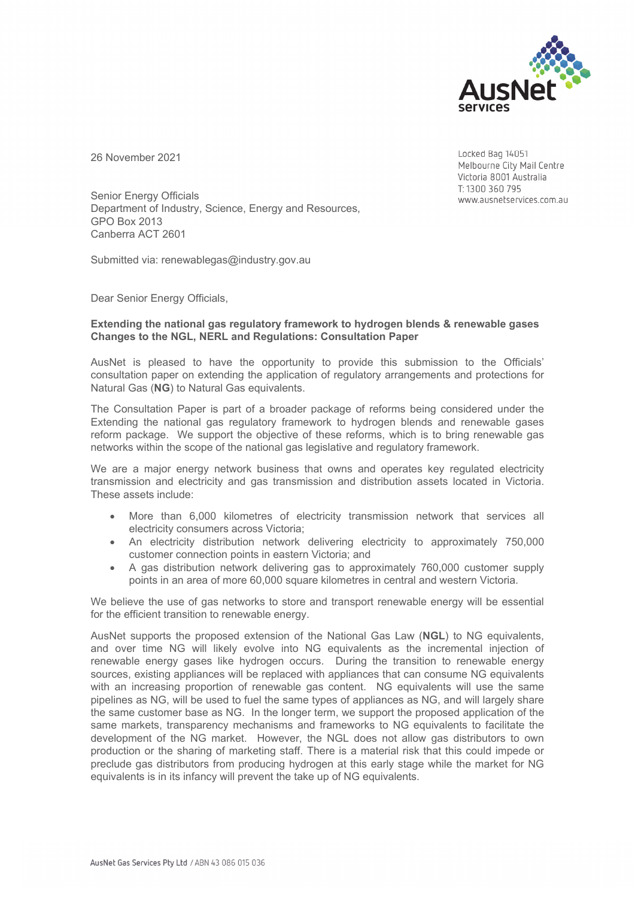

26 November 2021

Locked Bag 14051 Melbourne City Mail Centre Victoria 8001 Australia T: 1300 360 795 www.ausnetservices.com.au

Senior Energy Officials Department of Industry, Science, Energy and Resources, GPO Box 2013 Canberra ACT 2601

Submitted via: renewablegas@industry.gov.au

Dear Senior Energy Officials,

## **Extending the national gas regulatory framework to hydrogen blends & renewable gases Changes to the NGL, NERL and Regulations: Consultation Paper**

AusNet is pleased to have the opportunity to provide this submission to the Officials' consultation paper on extending the application of regulatory arrangements and protections for Natural Gas (**NG**) to Natural Gas equivalents.

The Consultation Paper is part of a broader package of reforms being considered under the Extending the national gas regulatory framework to hydrogen blends and renewable gases reform package. We support the objective of these reforms, which is to bring renewable gas networks within the scope of the national gas legislative and regulatory framework.

We are a major energy network business that owns and operates key regulated electricity transmission and electricity and gas transmission and distribution assets located in Victoria. These assets include:

- More than 6,000 kilometres of electricity transmission network that services all electricity consumers across Victoria;
- An electricity distribution network delivering electricity to approximately 750,000 customer connection points in eastern Victoria; and
- A gas distribution network delivering gas to approximately 760,000 customer supply points in an area of more 60,000 square kilometres in central and western Victoria.

We believe the use of gas networks to store and transport renewable energy will be essential for the efficient transition to renewable energy.

AusNet supports the proposed extension of the National Gas Law (**NGL**) to NG equivalents, and over time NG will likely evolve into NG equivalents as the incremental injection of renewable energy gases like hydrogen occurs. During the transition to renewable energy sources, existing appliances will be replaced with appliances that can consume NG equivalents with an increasing proportion of renewable gas content. NG equivalents will use the same pipelines as NG, will be used to fuel the same types of appliances as NG, and will largely share the same customer base as NG. In the longer term, we support the proposed application of the same markets, transparency mechanisms and frameworks to NG equivalents to facilitate the development of the NG market. However, the NGL does not allow gas distributors to own production or the sharing of marketing staff. There is a material risk that this could impede or preclude gas distributors from producing hydrogen at this early stage while the market for NG equivalents is in its infancy will prevent the take up of NG equivalents.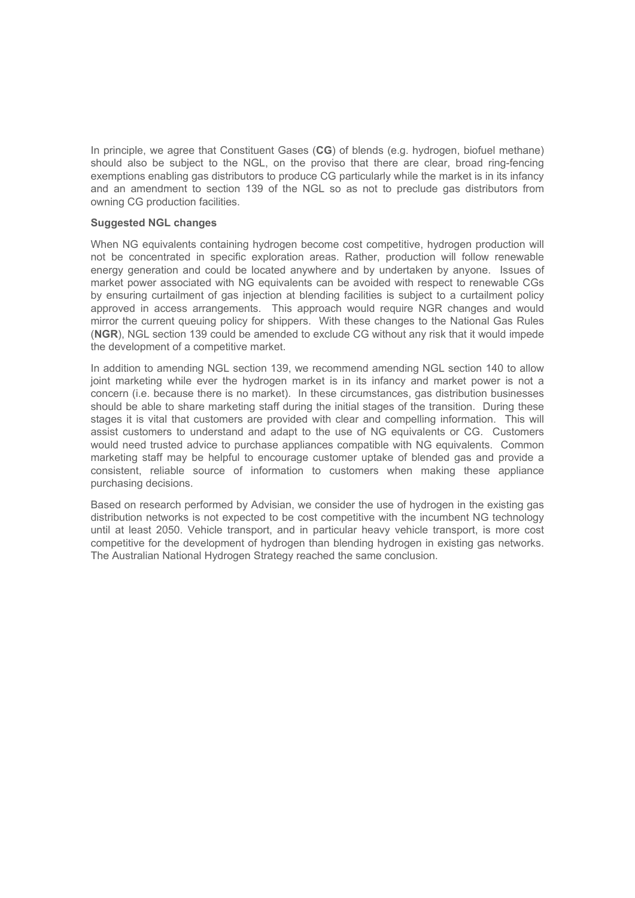In principle, we agree that Constituent Gases (**CG**) of blends (e.g. hydrogen, biofuel methane) should also be subject to the NGL, on the proviso that there are clear, broad ring-fencing exemptions enabling gas distributors to produce CG particularly while the market is in its infancy and an amendment to section 139 of the NGL so as not to preclude gas distributors from owning CG production facilities.

## **Suggested NGL changes**

When NG equivalents containing hydrogen become cost competitive, hydrogen production will not be concentrated in specific exploration areas. Rather, production will follow renewable energy generation and could be located anywhere and by undertaken by anyone. Issues of market power associated with NG equivalents can be avoided with respect to renewable CGs by ensuring curtailment of gas injection at blending facilities is subject to a curtailment policy approved in access arrangements. This approach would require NGR changes and would mirror the current queuing policy for shippers. With these changes to the National Gas Rules (**NGR**), NGL section 139 could be amended to exclude CG without any risk that it would impede the development of a competitive market.

In addition to amending NGL section 139, we recommend amending NGL section 140 to allow joint marketing while ever the hydrogen market is in its infancy and market power is not a concern (i.e. because there is no market). In these circumstances, gas distribution businesses should be able to share marketing staff during the initial stages of the transition. During these stages it is vital that customers are provided with clear and compelling information. This will assist customers to understand and adapt to the use of NG equivalents or CG. Customers would need trusted advice to purchase appliances compatible with NG equivalents. Common marketing staff may be helpful to encourage customer uptake of blended gas and provide a consistent, reliable source of information to customers when making these appliance purchasing decisions.

Based on research performed by Advisian, we consider the use of hydrogen in the existing gas distribution networks is not expected to be cost competitive with the incumbent NG technology until at least 2050. Vehicle transport, and in particular heavy vehicle transport, is more cost competitive for the development of hydrogen than blending hydrogen in existing gas networks. The Australian National Hydrogen Strategy reached the same conclusion.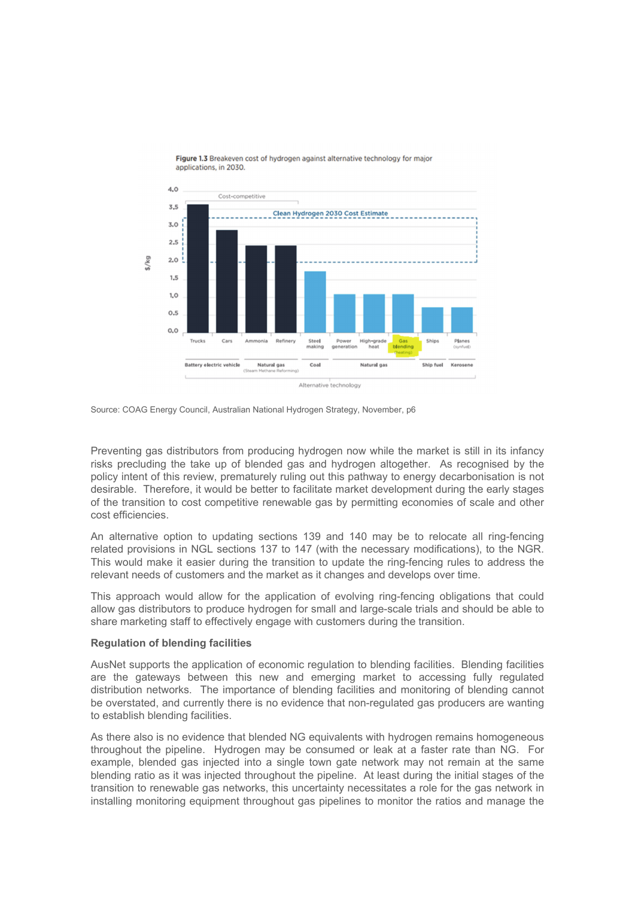

Figure 1.3 Breakeven cost of hydrogen against alternative technology for major applications, in 2030.

Source: COAG Energy Council, Australian National Hydrogen Strategy, November, p6

Preventing gas distributors from producing hydrogen now while the market is still in its infancy risks precluding the take up of blended gas and hydrogen altogether. As recognised by the policy intent of this review, prematurely ruling out this pathway to energy decarbonisation is not desirable. Therefore, it would be better to facilitate market development during the early stages of the transition to cost competitive renewable gas by permitting economies of scale and other cost efficiencies.

An alternative option to updating sections 139 and 140 may be to relocate all ring-fencing related provisions in NGL sections 137 to 147 (with the necessary modifications), to the NGR. This would make it easier during the transition to update the ring-fencing rules to address the relevant needs of customers and the market as it changes and develops over time.

This approach would allow for the application of evolving ring-fencing obligations that could allow gas distributors to produce hydrogen for small and large-scale trials and should be able to share marketing staff to effectively engage with customers during the transition.

## **Regulation of blending facilities**

AusNet supports the application of economic regulation to blending facilities. Blending facilities are the gateways between this new and emerging market to accessing fully regulated distribution networks. The importance of blending facilities and monitoring of blending cannot be overstated, and currently there is no evidence that non-regulated gas producers are wanting to establish blending facilities.

As there also is no evidence that blended NG equivalents with hydrogen remains homogeneous throughout the pipeline. Hydrogen may be consumed or leak at a faster rate than NG. For example, blended gas injected into a single town gate network may not remain at the same blending ratio as it was injected throughout the pipeline. At least during the initial stages of the transition to renewable gas networks, this uncertainty necessitates a role for the gas network in installing monitoring equipment throughout gas pipelines to monitor the ratios and manage the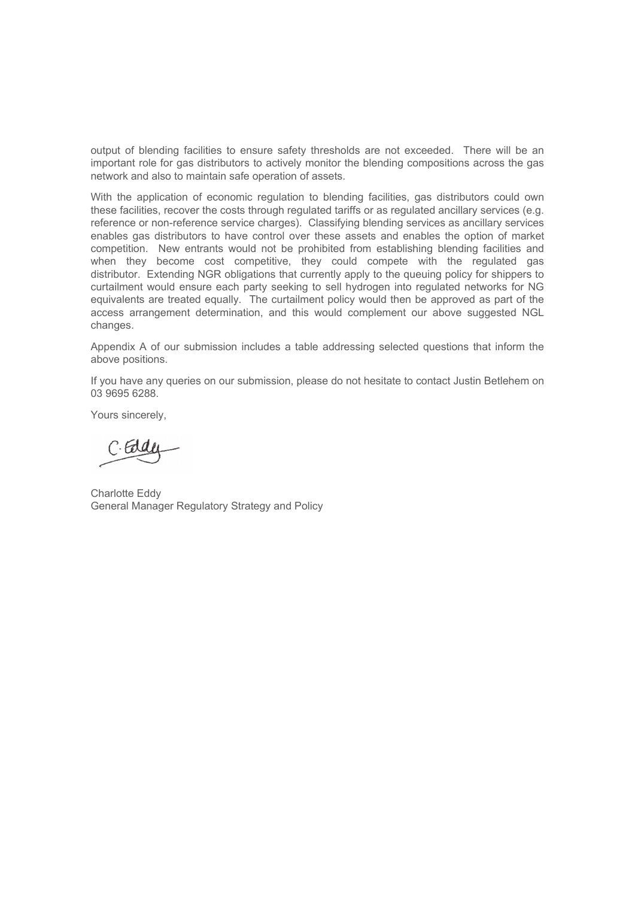output of blending facilities to ensure safety thresholds are not exceeded. There will be an important role for gas distributors to actively monitor the blending compositions across the gas network and also to maintain safe operation of assets.

With the application of economic regulation to blending facilities, gas distributors could own these facilities, recover the costs through regulated tariffs or as regulated ancillary services (e.g. reference or non-reference service charges). Classifying blending services as ancillary services enables gas distributors to have control over these assets and enables the option of market competition. New entrants would not be prohibited from establishing blending facilities and when they become cost competitive, they could compete with the regulated gas distributor. Extending NGR obligations that currently apply to the queuing policy for shippers to curtailment would ensure each party seeking to sell hydrogen into regulated networks for NG equivalents are treated equally. The curtailment policy would then be approved as part of the access arrangement determination, and this would complement our above suggested NGL changes.

Appendix A of our submission includes a table addressing selected questions that inform the above positions.

If you have any queries on our submission, please do not hesitate to contact Justin Betlehem on 03 9695 6288.

Yours sincerely,

C. Edge

Charlotte Eddy General Manager Regulatory Strategy and Policy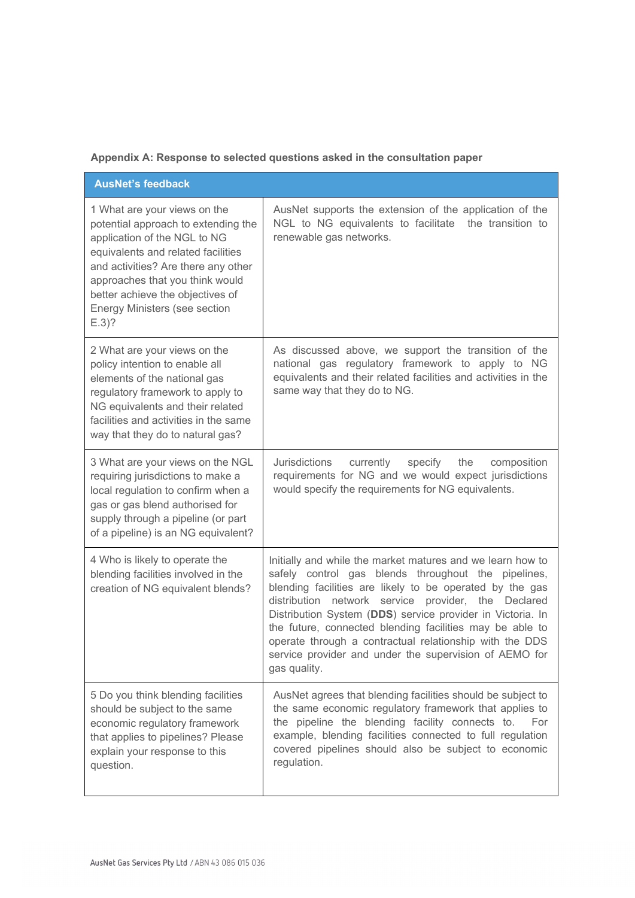**Appendix A: Response to selected questions asked in the consultation paper** 

| <b>AusNet's feedback</b>                                                                                                                                                                                                                                                                            |                                                                                                                                                                                                                                                                                                                                                                                                                                                                                                     |  |
|-----------------------------------------------------------------------------------------------------------------------------------------------------------------------------------------------------------------------------------------------------------------------------------------------------|-----------------------------------------------------------------------------------------------------------------------------------------------------------------------------------------------------------------------------------------------------------------------------------------------------------------------------------------------------------------------------------------------------------------------------------------------------------------------------------------------------|--|
| 1 What are your views on the<br>potential approach to extending the<br>application of the NGL to NG<br>equivalents and related facilities<br>and activities? Are there any other<br>approaches that you think would<br>better achieve the objectives of<br>Energy Ministers (see section<br>$E.3$ ? | AusNet supports the extension of the application of the<br>NGL to NG equivalents to facilitate the transition to<br>renewable gas networks.                                                                                                                                                                                                                                                                                                                                                         |  |
| 2 What are your views on the<br>policy intention to enable all<br>elements of the national gas<br>regulatory framework to apply to<br>NG equivalents and their related<br>facilities and activities in the same<br>way that they do to natural gas?                                                 | As discussed above, we support the transition of the<br>national gas regulatory framework to apply to NG<br>equivalents and their related facilities and activities in the<br>same way that they do to NG.                                                                                                                                                                                                                                                                                          |  |
| 3 What are your views on the NGL<br>requiring jurisdictions to make a<br>local regulation to confirm when a<br>gas or gas blend authorised for<br>supply through a pipeline (or part<br>of a pipeline) is an NG equivalent?                                                                         | <b>Jurisdictions</b><br>currently<br>specify<br>the<br>composition<br>requirements for NG and we would expect jurisdictions<br>would specify the requirements for NG equivalents.                                                                                                                                                                                                                                                                                                                   |  |
| 4 Who is likely to operate the<br>blending facilities involved in the<br>creation of NG equivalent blends?                                                                                                                                                                                          | Initially and while the market matures and we learn how to<br>safely control gas blends throughout the pipelines,<br>blending facilities are likely to be operated by the gas<br>distribution network service provider, the Declared<br>Distribution System (DDS) service provider in Victoria. In<br>the future, connected blending facilities may be able to<br>operate through a contractual relationship with the DDS<br>service provider and under the supervision of AEMO for<br>gas quality. |  |
| 5 Do you think blending facilities<br>should be subject to the same<br>economic regulatory framework<br>that applies to pipelines? Please<br>explain your response to this<br>question.                                                                                                             | AusNet agrees that blending facilities should be subject to<br>the same economic regulatory framework that applies to<br>the pipeline the blending facility connects to.<br>For<br>example, blending facilities connected to full regulation<br>covered pipelines should also be subject to economic<br>regulation.                                                                                                                                                                                 |  |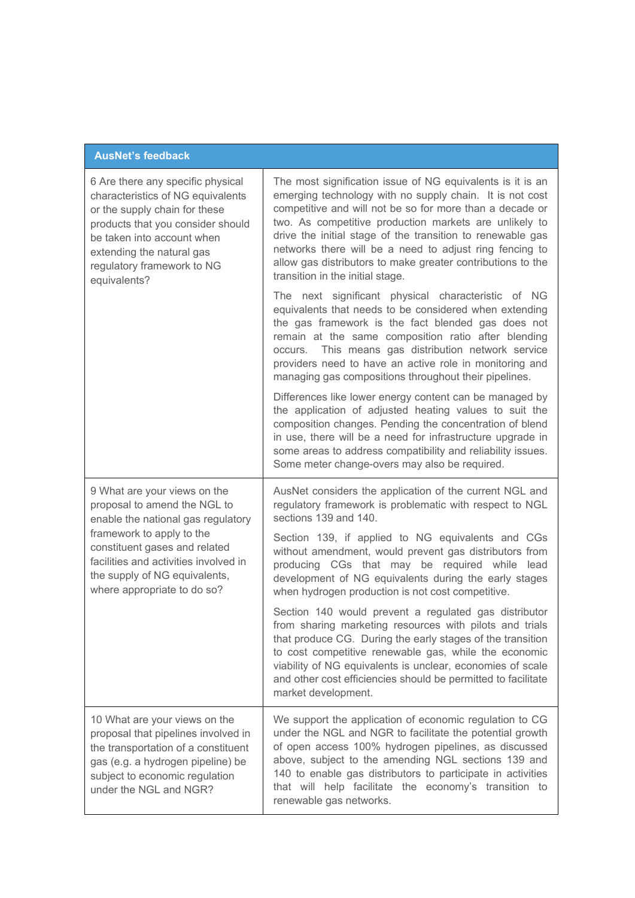|  | <b>AusNet's feedback</b> |
|--|--------------------------|
|  |                          |

| 6 Are there any specific physical<br>characteristics of NG equivalents<br>or the supply chain for these<br>products that you consider should<br>be taken into account when<br>extending the natural gas<br>regulatory framework to NG<br>equivalents?                     | The most signification issue of NG equivalents is it is an<br>emerging technology with no supply chain. It is not cost<br>competitive and will not be so for more than a decade or<br>two. As competitive production markets are unlikely to<br>drive the initial stage of the transition to renewable gas<br>networks there will be a need to adjust ring fencing to<br>allow gas distributors to make greater contributions to the<br>transition in the initial stage. |
|---------------------------------------------------------------------------------------------------------------------------------------------------------------------------------------------------------------------------------------------------------------------------|--------------------------------------------------------------------------------------------------------------------------------------------------------------------------------------------------------------------------------------------------------------------------------------------------------------------------------------------------------------------------------------------------------------------------------------------------------------------------|
|                                                                                                                                                                                                                                                                           | The next significant physical characteristic of NG<br>equivalents that needs to be considered when extending<br>the gas framework is the fact blended gas does not<br>remain at the same composition ratio after blending<br>occurs. This means gas distribution network service<br>providers need to have an active role in monitoring and<br>managing gas compositions throughout their pipelines.                                                                     |
|                                                                                                                                                                                                                                                                           | Differences like lower energy content can be managed by<br>the application of adjusted heating values to suit the<br>composition changes. Pending the concentration of blend<br>in use, there will be a need for infrastructure upgrade in<br>some areas to address compatibility and reliability issues.<br>Some meter change-overs may also be required.                                                                                                               |
| 9 What are your views on the<br>proposal to amend the NGL to<br>enable the national gas regulatory<br>framework to apply to the<br>constituent gases and related<br>facilities and activities involved in<br>the supply of NG equivalents,<br>where appropriate to do so? | AusNet considers the application of the current NGL and<br>regulatory framework is problematic with respect to NGL<br>sections 139 and 140.                                                                                                                                                                                                                                                                                                                              |
|                                                                                                                                                                                                                                                                           | Section 139, if applied to NG equivalents and CGs<br>without amendment, would prevent gas distributors from<br>producing CGs that may be required while lead<br>development of NG equivalents during the early stages<br>when hydrogen production is not cost competitive.                                                                                                                                                                                               |
|                                                                                                                                                                                                                                                                           | Section 140 would prevent a regulated gas distributor<br>from sharing marketing resources with pilots and trials<br>that produce CG. During the early stages of the transition<br>to cost competitive renewable gas, while the economic<br>viability of NG equivalents is unclear, economies of scale<br>and other cost efficiencies should be permitted to facilitate<br>market development.                                                                            |
| 10 What are your views on the<br>proposal that pipelines involved in<br>the transportation of a constituent<br>gas (e.g. a hydrogen pipeline) be<br>subject to economic regulation<br>under the NGL and NGR?                                                              | We support the application of economic regulation to CG<br>under the NGL and NGR to facilitate the potential growth<br>of open access 100% hydrogen pipelines, as discussed<br>above, subject to the amending NGL sections 139 and<br>140 to enable gas distributors to participate in activities<br>that will help facilitate the economy's transition to<br>renewable gas networks.                                                                                    |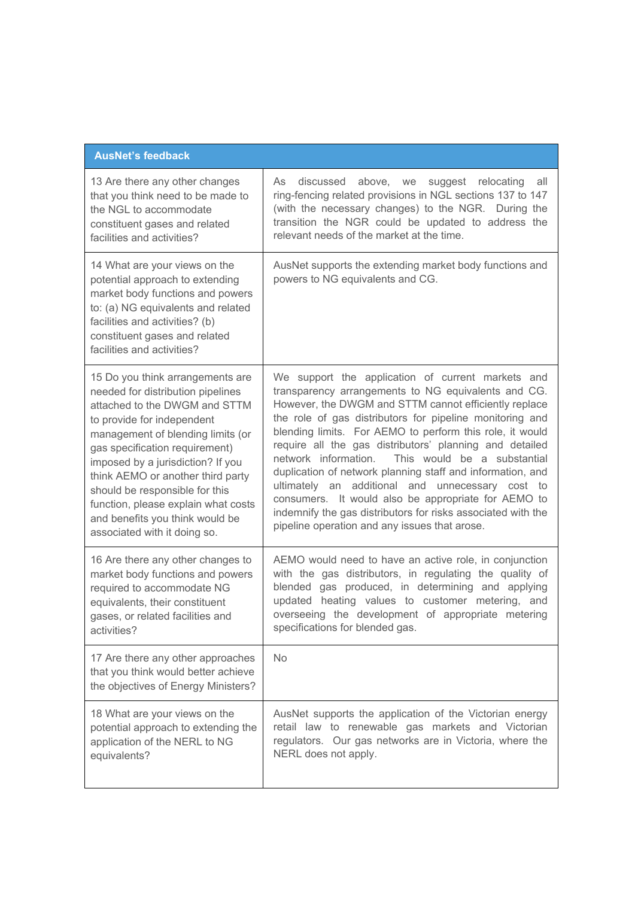| <b>AusNet's feedback</b>                                                                                                                                                                                                                                                                                                                                                                                                          |                                                                                                                                                                                                                                                                                                                                                                                                                                                                                                                                                                                                                                                                                                       |  |
|-----------------------------------------------------------------------------------------------------------------------------------------------------------------------------------------------------------------------------------------------------------------------------------------------------------------------------------------------------------------------------------------------------------------------------------|-------------------------------------------------------------------------------------------------------------------------------------------------------------------------------------------------------------------------------------------------------------------------------------------------------------------------------------------------------------------------------------------------------------------------------------------------------------------------------------------------------------------------------------------------------------------------------------------------------------------------------------------------------------------------------------------------------|--|
| 13 Are there any other changes<br>that you think need to be made to<br>the NGL to accommodate<br>constituent gases and related<br>facilities and activities?                                                                                                                                                                                                                                                                      | discussed above, we suggest relocating<br>As<br>all<br>ring-fencing related provisions in NGL sections 137 to 147<br>(with the necessary changes) to the NGR. During the<br>transition the NGR could be updated to address the<br>relevant needs of the market at the time.                                                                                                                                                                                                                                                                                                                                                                                                                           |  |
| 14 What are your views on the<br>potential approach to extending<br>market body functions and powers<br>to: (a) NG equivalents and related<br>facilities and activities? (b)<br>constituent gases and related<br>facilities and activities?                                                                                                                                                                                       | AusNet supports the extending market body functions and<br>powers to NG equivalents and CG.                                                                                                                                                                                                                                                                                                                                                                                                                                                                                                                                                                                                           |  |
| 15 Do you think arrangements are<br>needed for distribution pipelines<br>attached to the DWGM and STTM<br>to provide for independent<br>management of blending limits (or<br>gas specification requirement)<br>imposed by a jurisdiction? If you<br>think AEMO or another third party<br>should be responsible for this<br>function, please explain what costs<br>and benefits you think would be<br>associated with it doing so. | We support the application of current markets and<br>transparency arrangements to NG equivalents and CG.<br>However, the DWGM and STTM cannot efficiently replace<br>the role of gas distributors for pipeline monitoring and<br>blending limits. For AEMO to perform this role, it would<br>require all the gas distributors' planning and detailed<br>This would be a substantial<br>network information.<br>duplication of network planning staff and information, and<br>ultimately an additional and unnecessary cost to<br>consumers. It would also be appropriate for AEMO to<br>indemnify the gas distributors for risks associated with the<br>pipeline operation and any issues that arose. |  |
| 16 Are there any other changes to<br>market body functions and powers<br>required to accommodate NG<br>equivalents, their constituent<br>gases, or related facilities and<br>activities?                                                                                                                                                                                                                                          | AEMO would need to have an active role, in conjunction<br>with the gas distributors, in regulating the quality of<br>blended gas produced, in determining and applying<br>updated heating values to customer metering, and<br>overseeing the development of appropriate metering<br>specifications for blended gas.                                                                                                                                                                                                                                                                                                                                                                                   |  |
| 17 Are there any other approaches<br>that you think would better achieve<br>the objectives of Energy Ministers?                                                                                                                                                                                                                                                                                                                   | No.                                                                                                                                                                                                                                                                                                                                                                                                                                                                                                                                                                                                                                                                                                   |  |
| 18 What are your views on the<br>potential approach to extending the<br>application of the NERL to NG<br>equivalents?                                                                                                                                                                                                                                                                                                             | AusNet supports the application of the Victorian energy<br>retail law to renewable gas markets and Victorian<br>regulators. Our gas networks are in Victoria, where the<br>NERL does not apply.                                                                                                                                                                                                                                                                                                                                                                                                                                                                                                       |  |